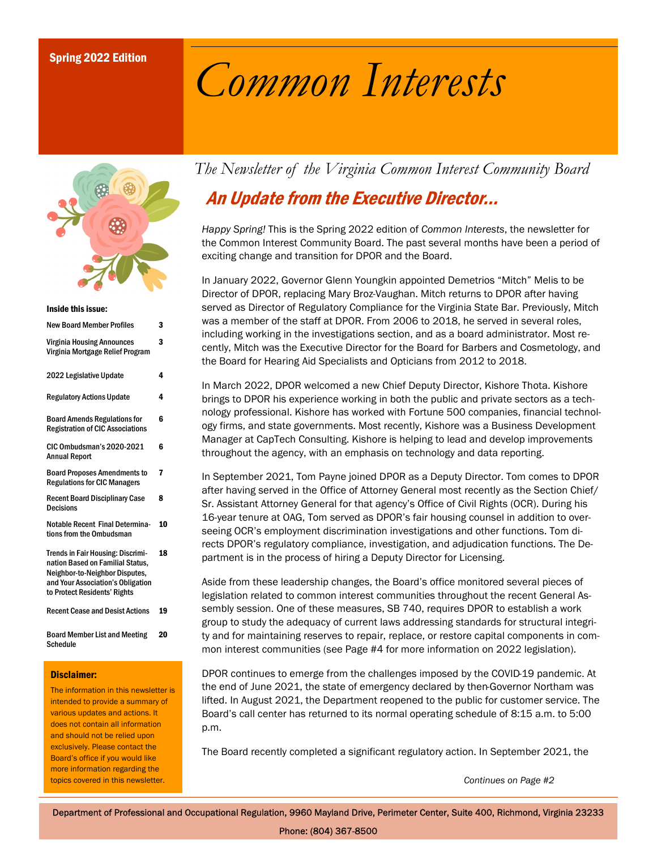### Spring 2022 Edition

# Common Interests



#### Inside this issue:

| <b>New Board Member Profiles</b>                                                                                                                                                    | 3  |
|-------------------------------------------------------------------------------------------------------------------------------------------------------------------------------------|----|
| <b>Virginia Housing Announces</b><br>Virginia Mortgage Relief Program                                                                                                               | 3  |
| 2022 Legislative Update                                                                                                                                                             | 4  |
| <b>Regulatory Actions Update</b>                                                                                                                                                    | 4  |
| <b>Board Amends Regulations for</b><br><b>Registration of CIC Associations</b>                                                                                                      | 6  |
| <b>CIC Ombudsman's 2020-2021</b><br><b>Annual Report</b>                                                                                                                            | 6  |
| <b>Board Proposes Amendments to</b><br><b>Regulations for CIC Managers</b>                                                                                                          | 7  |
| <b>Recent Board Disciplinary Case</b><br><b>Decisions</b>                                                                                                                           | 8  |
| <b>Notable Recent Final Determina-</b><br>tions from the Ombudsman                                                                                                                  | 10 |
| <b>Trends in Fair Housing: Discrimi-</b><br>nation Based on Familial Status,<br>Neighbor-to-Neighbor Disputes,<br>and Your Association's Obligation<br>to Protect Residents' Rights | 18 |
| <b>Recent Cease and Desist Actions</b>                                                                                                                                              | 19 |
| <b>Board Member List and Meeting</b><br>Schedule                                                                                                                                    | 20 |

#### Disclaimer:

The information in this newsletter is intended to provide a summary of various updates and actions. It does not contain all information and should not be relied upon exclusively. Please contact the Board's office if you would like more information regarding the topics covered in this newsletter.

The Newsletter of the Virginia Common Interest Community Board

# An Update from the Executive Director...

Happy Spring! This is the Spring 2022 edition of Common Interests, the newsletter for the Common Interest Community Board. The past several months have been a period of exciting change and transition for DPOR and the Board.

In January 2022, Governor Glenn Youngkin appointed Demetrios "Mitch" Melis to be Director of DPOR, replacing Mary Broz-Vaughan. Mitch returns to DPOR after having served as Director of Regulatory Compliance for the Virginia State Bar. Previously, Mitch was a member of the staff at DPOR. From 2006 to 2018, he served in several roles, including working in the investigations section, and as a board administrator. Most recently, Mitch was the Executive Director for the Board for Barbers and Cosmetology, and the Board for Hearing Aid Specialists and Opticians from 2012 to 2018.

In March 2022, DPOR welcomed a new Chief Deputy Director, Kishore Thota. Kishore brings to DPOR his experience working in both the public and private sectors as a technology professional. Kishore has worked with Fortune 500 companies, financial technology firms, and state governments. Most recently, Kishore was a Business Development Manager at CapTech Consulting. Kishore is helping to lead and develop improvements throughout the agency, with an emphasis on technology and data reporting.

In September 2021, Tom Payne joined DPOR as a Deputy Director. Tom comes to DPOR after having served in the Office of Attorney General most recently as the Section Chief/ Sr. Assistant Attorney General for that agency's Office of Civil Rights (OCR). During his 16-year tenure at OAG, Tom served as DPOR's fair housing counsel in addition to overseeing OCR's employment discrimination investigations and other functions. Tom directs DPOR's regulatory compliance, investigation, and adjudication functions. The Department is in the process of hiring a Deputy Director for Licensing.

Aside from these leadership changes, the Board's office monitored several pieces of legislation related to common interest communities throughout the recent General Assembly session. One of these measures, SB 740, requires DPOR to establish a work group to study the adequacy of current laws addressing standards for structural integrity and for maintaining reserves to repair, replace, or restore capital components in common interest communities (see Page #4 for more information on 2022 legislation).

DPOR continues to emerge from the challenges imposed by the COVID-19 pandemic. At the end of June 2021, the state of emergency declared by then-Governor Northam was lifted. In August 2021, the Department reopened to the public for customer service. The Board's call center has returned to its normal operating schedule of 8:15 a.m. to 5:00 p.m.

The Board recently completed a significant regulatory action. In September 2021, the

Continues on Page #2

Department of Professional and Occupational Regulation, 9960 Mayland Drive, Perimeter Center, Suite 400, Richmond, Virginia 23233

Phone: (804) 367-8500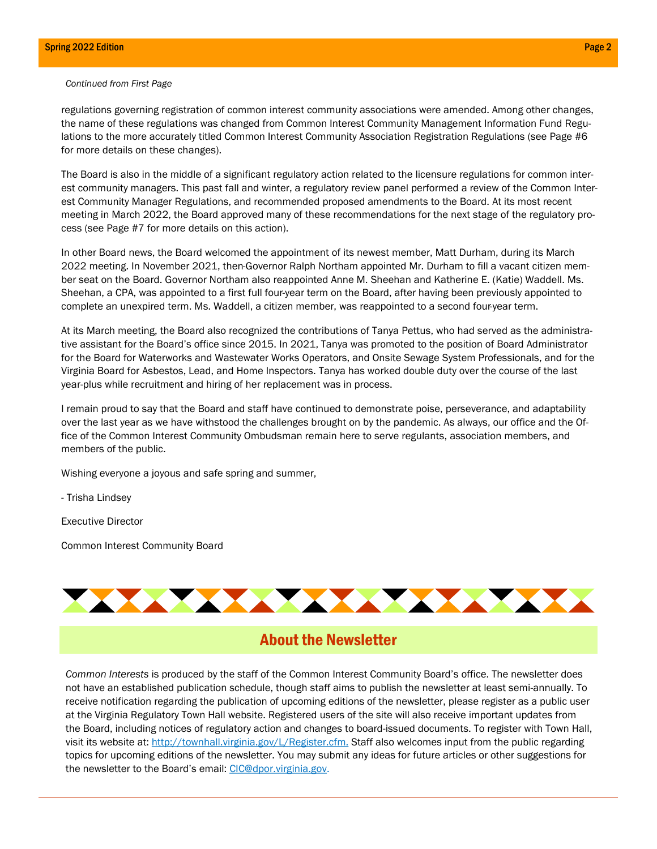#### Continued from First Page

regulations governing registration of common interest community associations were amended. Among other changes, the name of these regulations was changed from Common Interest Community Management Information Fund Regulations to the more accurately titled Common Interest Community Association Registration Regulations (see Page #6 for more details on these changes).

The Board is also in the middle of a significant regulatory action related to the licensure regulations for common interest community managers. This past fall and winter, a regulatory review panel performed a review of the Common Interest Community Manager Regulations, and recommended proposed amendments to the Board. At its most recent meeting in March 2022, the Board approved many of these recommendations for the next stage of the regulatory process (see Page #7 for more details on this action).

In other Board news, the Board welcomed the appointment of its newest member, Matt Durham, during its March 2022 meeting. In November 2021, then-Governor Ralph Northam appointed Mr. Durham to fill a vacant citizen member seat on the Board. Governor Northam also reappointed Anne M. Sheehan and Katherine E. (Katie) Waddell. Ms. Sheehan, a CPA, was appointed to a first full four-year term on the Board, after having been previously appointed to complete an unexpired term. Ms. Waddell, a citizen member, was reappointed to a second four-year term.

At its March meeting, the Board also recognized the contributions of Tanya Pettus, who had served as the administrative assistant for the Board's office since 2015. In 2021, Tanya was promoted to the position of Board Administrator for the Board for Waterworks and Wastewater Works Operators, and Onsite Sewage System Professionals, and for the Virginia Board for Asbestos, Lead, and Home Inspectors. Tanya has worked double duty over the course of the last year-plus while recruitment and hiring of her replacement was in process.

I remain proud to say that the Board and staff have continued to demonstrate poise, perseverance, and adaptability over the last year as we have withstood the challenges brought on by the pandemic. As always, our office and the Office of the Common Interest Community Ombudsman remain here to serve regulants, association members, and members of the public.

Wishing everyone a joyous and safe spring and summer,

- Trisha Lindsey

Executive Director

Common Interest Community Board



### About the Newsletter

Common Interests is produced by the staff of the Common Interest Community Board's office. The newsletter does not have an established publication schedule, though staff aims to publish the newsletter at least semi-annually. To receive notification regarding the publication of upcoming editions of the newsletter, please register as a public user at the Virginia Regulatory Town Hall website. Registered users of the site will also receive important updates from the Board, including notices of regulatory action and changes to board-issued documents. To register with Town Hall, visit its website at: http://townhall.virginia.gov/L/Register.cfm. Staff also welcomes input from the public regarding topics for upcoming editions of the newsletter. You may submit any ideas for future articles or other suggestions for the newsletter to the Board's email: CIC@dpor.virginia.gov.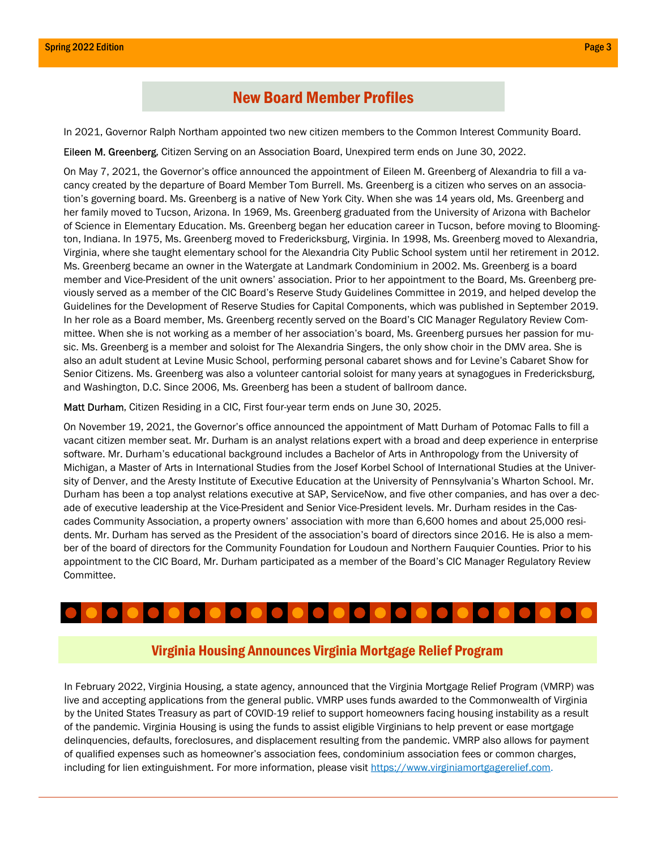### New Board Member Profiles

In 2021, Governor Ralph Northam appointed two new citizen members to the Common Interest Community Board.

Eileen M. Greenberg, Citizen Serving on an Association Board, Unexpired term ends on June 30, 2022.

On May 7, 2021, the Governor's office announced the appointment of Eileen M. Greenberg of Alexandria to fill a vacancy created by the departure of Board Member Tom Burrell. Ms. Greenberg is a citizen who serves on an association's governing board. Ms. Greenberg is a native of New York City. When she was 14 years old, Ms. Greenberg and her family moved to Tucson, Arizona. In 1969, Ms. Greenberg graduated from the University of Arizona with Bachelor of Science in Elementary Education. Ms. Greenberg began her education career in Tucson, before moving to Bloomington, Indiana. In 1975, Ms. Greenberg moved to Fredericksburg, Virginia. In 1998, Ms. Greenberg moved to Alexandria, Virginia, where she taught elementary school for the Alexandria City Public School system until her retirement in 2012. Ms. Greenberg became an owner in the Watergate at Landmark Condominium in 2002. Ms. Greenberg is a board member and Vice-President of the unit owners' association. Prior to her appointment to the Board, Ms. Greenberg previously served as a member of the CIC Board's Reserve Study Guidelines Committee in 2019, and helped develop the Guidelines for the Development of Reserve Studies for Capital Components, which was published in September 2019. In her role as a Board member, Ms. Greenberg recently served on the Board's CIC Manager Regulatory Review Committee. When she is not working as a member of her association's board, Ms. Greenberg pursues her passion for music. Ms. Greenberg is a member and soloist for The Alexandria Singers, the only show choir in the DMV area. She is also an adult student at Levine Music School, performing personal cabaret shows and for Levine's Cabaret Show for Senior Citizens. Ms. Greenberg was also a volunteer cantorial soloist for many years at synagogues in Fredericksburg, and Washington, D.C. Since 2006, Ms. Greenberg has been a student of ballroom dance.

Matt Durham, Citizen Residing in a CIC, First four-year term ends on June 30, 2025.

On November 19, 2021, the Governor's office announced the appointment of Matt Durham of Potomac Falls to fill a vacant citizen member seat. Mr. Durham is an analyst relations expert with a broad and deep experience in enterprise software. Mr. Durham's educational background includes a Bachelor of Arts in Anthropology from the University of Michigan, a Master of Arts in International Studies from the Josef Korbel School of International Studies at the University of Denver, and the Aresty Institute of Executive Education at the University of Pennsylvania's Wharton School. Mr. Durham has been a top analyst relations executive at SAP, ServiceNow, and five other companies, and has over a decade of executive leadership at the Vice-President and Senior Vice-President levels. Mr. Durham resides in the Cascades Community Association, a property owners' association with more than 6,600 homes and about 25,000 residents. Mr. Durham has served as the President of the association's board of directors since 2016. He is also a member of the board of directors for the Community Foundation for Loudoun and Northern Fauquier Counties. Prior to his appointment to the CIC Board, Mr. Durham participated as a member of the Board's CIC Manager Regulatory Review Committee.

### Virginia Housing Announces Virginia Mortgage Relief Program

In February 2022, Virginia Housing, a state agency, announced that the Virginia Mortgage Relief Program (VMRP) was live and accepting applications from the general public. VMRP uses funds awarded to the Commonwealth of Virginia by the United States Treasury as part of COVID-19 relief to support homeowners facing housing instability as a result of the pandemic. Virginia Housing is using the funds to assist eligible Virginians to help prevent or ease mortgage delinquencies, defaults, foreclosures, and displacement resulting from the pandemic. VMRP also allows for payment of qualified expenses such as homeowner's association fees, condominium association fees or common charges, including for lien extinguishment. For more information, please visit https://www.virginiamortgagerelief.com.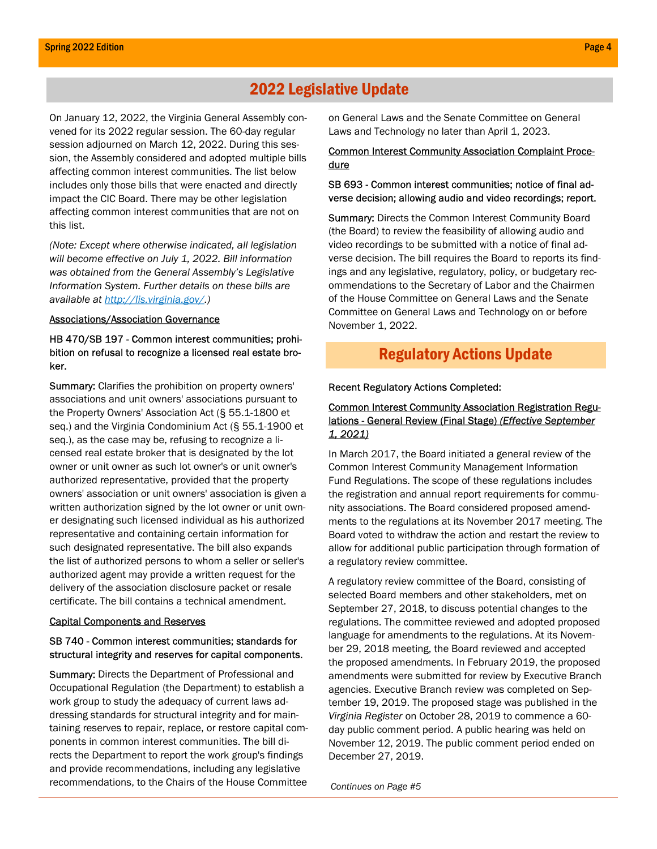### 2022 Legislative Update

On January 12, 2022, the Virginia General Assembly convened for its 2022 regular session. The 60-day regular session adjourned on March 12, 2022. During this session, the Assembly considered and adopted multiple bills affecting common interest communities. The list below includes only those bills that were enacted and directly impact the CIC Board. There may be other legislation affecting common interest communities that are not on this list.

(Note: Except where otherwise indicated, all legislation will become effective on July 1, 2022. Bill information was obtained from the General Assembly's Legislative Information System. Further details on these bills are available at http://lis.virginia.gov/.)

#### Associations/Association Governance

#### HB 470/SB 197 - Common interest communities; prohibition on refusal to recognize a licensed real estate broker.

Summary: Clarifies the prohibition on property owners' associations and unit owners' associations pursuant to the Property Owners' Association Act (§ 55.1-1800 et seq.) and the Virginia Condominium Act (§ 55.1-1900 et seq.), as the case may be, refusing to recognize a licensed real estate broker that is designated by the lot owner or unit owner as such lot owner's or unit owner's authorized representative, provided that the property owners' association or unit owners' association is given a written authorization signed by the lot owner or unit owner designating such licensed individual as his authorized representative and containing certain information for such designated representative. The bill also expands the list of authorized persons to whom a seller or seller's authorized agent may provide a written request for the delivery of the association disclosure packet or resale certificate. The bill contains a technical amendment.

#### Capital Components and Reserves

#### SB 740 - Common interest communities; standards for structural integrity and reserves for capital components.

Summary: Directs the Department of Professional and Occupational Regulation (the Department) to establish a work group to study the adequacy of current laws addressing standards for structural integrity and for maintaining reserves to repair, replace, or restore capital components in common interest communities. The bill directs the Department to report the work group's findings and provide recommendations, including any legislative recommendations, to the Chairs of the House Committee

on General Laws and the Senate Committee on General Laws and Technology no later than April 1, 2023.

#### Common Interest Community Association Complaint Procedure

#### SB 693 - Common interest communities; notice of final adverse decision; allowing audio and video recordings; report.

**Summary:** Directs the Common Interest Community Board (the Board) to review the feasibility of allowing audio and video recordings to be submitted with a notice of final adverse decision. The bill requires the Board to reports its findings and any legislative, regulatory, policy, or budgetary recommendations to the Secretary of Labor and the Chairmen of the House Committee on General Laws and the Senate Committee on General Laws and Technology on or before November 1, 2022.

### Regulatory Actions Update

#### Recent Regulatory Actions Completed:

#### Common Interest Community Association Registration Regulations - General Review (Final Stage) (Effective September 1, 2021)

In March 2017, the Board initiated a general review of the Common Interest Community Management Information Fund Regulations. The scope of these regulations includes the registration and annual report requirements for community associations. The Board considered proposed amendments to the regulations at its November 2017 meeting. The Board voted to withdraw the action and restart the review to allow for additional public participation through formation of a regulatory review committee.

A regulatory review committee of the Board, consisting of selected Board members and other stakeholders, met on September 27, 2018, to discuss potential changes to the regulations. The committee reviewed and adopted proposed language for amendments to the regulations. At its November 29, 2018 meeting, the Board reviewed and accepted the proposed amendments. In February 2019, the proposed amendments were submitted for review by Executive Branch agencies. Executive Branch review was completed on September 19, 2019. The proposed stage was published in the Virginia Register on October 28, 2019 to commence a 60 day public comment period. A public hearing was held on November 12, 2019. The public comment period ended on December 27, 2019.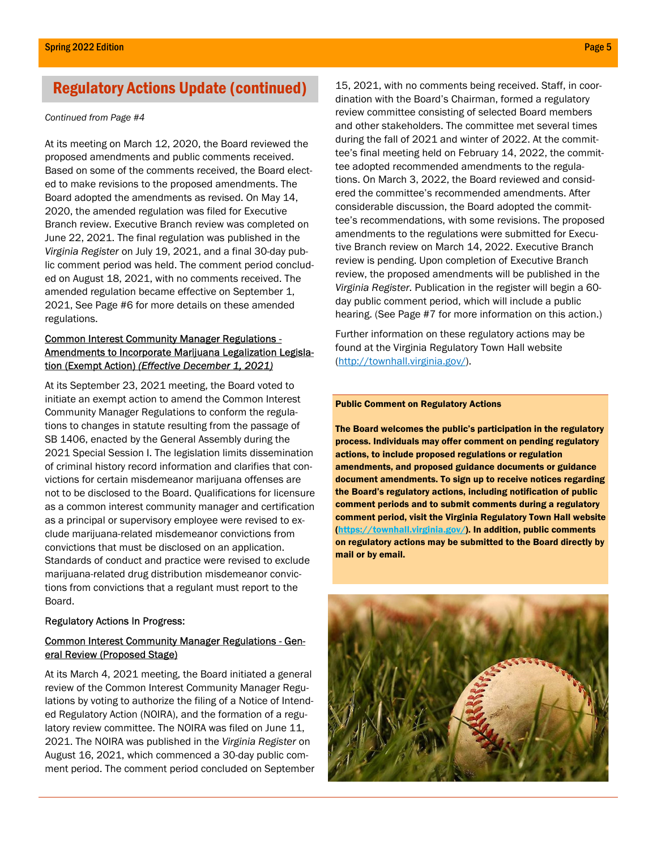#### Continued from Page #4

At its meeting on March 12, 2020, the Board reviewed the proposed amendments and public comments received. Based on some of the comments received, the Board elected to make revisions to the proposed amendments. The Board adopted the amendments as revised. On May 14, 2020, the amended regulation was filed for Executive Branch review. Executive Branch review was completed on June 22, 2021. The final regulation was published in the Virginia Register on July 19, 2021, and a final 30-day public comment period was held. The comment period concluded on August 18, 2021, with no comments received. The amended regulation became effective on September 1, 2021, See Page #6 for more details on these amended regulations.

#### Common Interest Community Manager Regulations - Amendments to Incorporate Marijuana Legalization Legislation (Exempt Action) (Effective December 1, 2021)

At its September 23, 2021 meeting, the Board voted to initiate an exempt action to amend the Common Interest Community Manager Regulations to conform the regulations to changes in statute resulting from the passage of SB 1406, enacted by the General Assembly during the 2021 Special Session I. The legislation limits dissemination of criminal history record information and clarifies that convictions for certain misdemeanor marijuana offenses are not to be disclosed to the Board. Qualifications for licensure as a common interest community manager and certification as a principal or supervisory employee were revised to exclude marijuana-related misdemeanor convictions from convictions that must be disclosed on an application. Standards of conduct and practice were revised to exclude marijuana-related drug distribution misdemeanor convictions from convictions that a regulant must report to the Board.

#### Regulatory Actions In Progress:

#### Common Interest Community Manager Regulations - General Review (Proposed Stage)

At its March 4, 2021 meeting, the Board initiated a general review of the Common Interest Community Manager Regulations by voting to authorize the filing of a Notice of Intended Regulatory Action (NOIRA), and the formation of a regulatory review committee. The NOIRA was filed on June 11, 2021. The NOIRA was published in the Virginia Register on August 16, 2021, which commenced a 30-day public comment period. The comment period concluded on September

Regulatory Actions Update (continued) 15, 2021, with no comments being received. Staff, in coordination with the Board's Chairman, formed a regulatory review committee consisting of selected Board members and other stakeholders. The committee met several times during the fall of 2021 and winter of 2022. At the committee's final meeting held on February 14, 2022, the committee adopted recommended amendments to the regulations. On March 3, 2022, the Board reviewed and considered the committee's recommended amendments. After considerable discussion, the Board adopted the committee's recommendations, with some revisions. The proposed amendments to the regulations were submitted for Executive Branch review on March 14, 2022. Executive Branch review is pending. Upon completion of Executive Branch review, the proposed amendments will be published in the Virginia Register. Publication in the register will begin a 60 day public comment period, which will include a public hearing. (See Page #7 for more information on this action.)

> Further information on these regulatory actions may be found at the Virginia Regulatory Town Hall website (http://townhall.virginia.gov/).

#### Public Comment on Regulatory Actions

The Board welcomes the public's participation in the regulatory process. Individuals may offer comment on pending regulatory actions, to include proposed regulations or regulation amendments, and proposed guidance documents or guidance document amendments. To sign up to receive notices regarding the Board's regulatory actions, including notification of public comment periods and to submit comments during a regulatory comment period, visit the Virginia Regulatory Town Hall website (https://townhall.virginia.gov/). In addition, public comments on regulatory actions may be submitted to the Board directly by mail or by email.

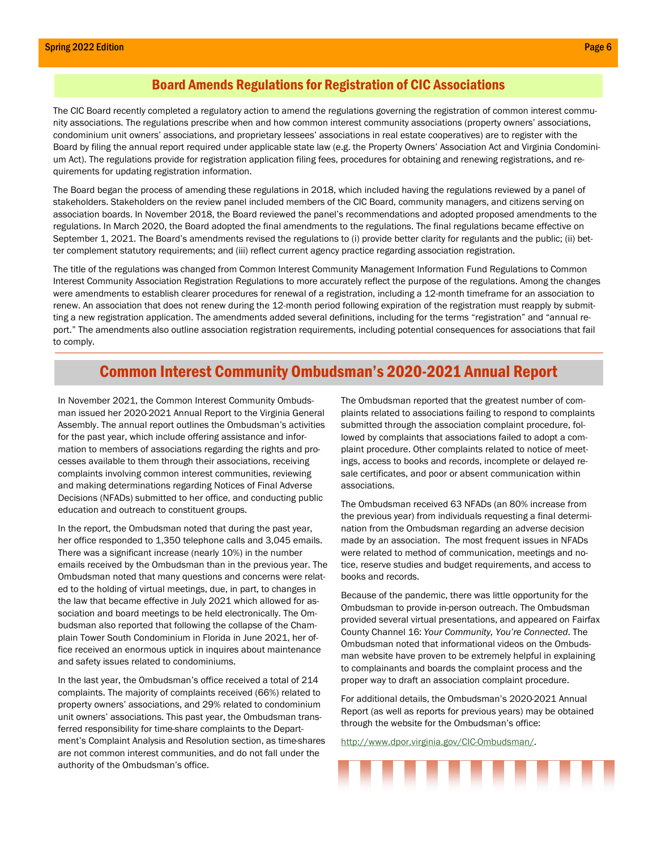#### Board Amends Regulations for Registration of CIC Associations

The CIC Board recently completed a regulatory action to amend the regulations governing the registration of common interest community associations. The regulations prescribe when and how common interest community associations (property owners' associations, condominium unit owners' associations, and proprietary lessees' associations in real estate cooperatives) are to register with the Board by filing the annual report required under applicable state law (e.g. the Property Owners' Association Act and Virginia Condominium Act). The regulations provide for registration application filing fees, procedures for obtaining and renewing registrations, and requirements for updating registration information.

The Board began the process of amending these regulations in 2018, which included having the regulations reviewed by a panel of stakeholders. Stakeholders on the review panel included members of the CIC Board, community managers, and citizens serving on association boards. In November 2018, the Board reviewed the panel's recommendations and adopted proposed amendments to the regulations. In March 2020, the Board adopted the final amendments to the regulations. The final regulations became effective on September 1, 2021. The Board's amendments revised the regulations to (i) provide better clarity for regulants and the public; (ii) better complement statutory requirements; and (iii) reflect current agency practice regarding association registration.

The title of the regulations was changed from Common Interest Community Management Information Fund Regulations to Common Interest Community Association Registration Regulations to more accurately reflect the purpose of the regulations. Among the changes were amendments to establish clearer procedures for renewal of a registration, including a 12-month timeframe for an association to renew. An association that does not renew during the 12-month period following expiration of the registration must reapply by submitting a new registration application. The amendments added several definitions, including for the terms "registration" and "annual report." The amendments also outline association registration requirements, including potential consequences for associations that fail to comply.

### Common Interest Community Ombudsman's 2020-2021 Annual Report

In November 2021, the Common Interest Community Ombudsman issued her 2020-2021 Annual Report to the Virginia General Assembly. The annual report outlines the Ombudsman's activities for the past year, which include offering assistance and information to members of associations regarding the rights and processes available to them through their associations, receiving complaints involving common interest communities, reviewing and making determinations regarding Notices of Final Adverse Decisions (NFADs) submitted to her office, and conducting public education and outreach to constituent groups.

In the report, the Ombudsman noted that during the past year, her office responded to 1,350 telephone calls and 3,045 emails. There was a significant increase (nearly 10%) in the number emails received by the Ombudsman than in the previous year. The Ombudsman noted that many questions and concerns were related to the holding of virtual meetings, due, in part, to changes in the law that became effective in July 2021 which allowed for association and board meetings to be held electronically. The Ombudsman also reported that following the collapse of the Champlain Tower South Condominium in Florida in June 2021, her office received an enormous uptick in inquires about maintenance and safety issues related to condominiums.

In the last year, the Ombudsman's office received a total of 214 complaints. The majority of complaints received (66%) related to property owners' associations, and 29% related to condominium unit owners' associations. This past year, the Ombudsman transferred responsibility for time-share complaints to the Department's Complaint Analysis and Resolution section, as time-shares are not common interest communities, and do not fall under the authority of the Ombudsman's office.

The Ombudsman reported that the greatest number of complaints related to associations failing to respond to complaints submitted through the association complaint procedure, followed by complaints that associations failed to adopt a complaint procedure. Other complaints related to notice of meetings, access to books and records, incomplete or delayed resale certificates, and poor or absent communication within associations.

The Ombudsman received 63 NFADs (an 80% increase from the previous year) from individuals requesting a final determination from the Ombudsman regarding an adverse decision made by an association. The most frequent issues in NFADs were related to method of communication, meetings and notice, reserve studies and budget requirements, and access to books and records.

Because of the pandemic, there was little opportunity for the Ombudsman to provide in-person outreach. The Ombudsman provided several virtual presentations, and appeared on Fairfax County Channel 16: Your Community, You're Connected. The Ombudsman noted that informational videos on the Ombudsman website have proven to be extremely helpful in explaining to complainants and boards the complaint process and the proper way to draft an association complaint procedure.

For additional details, the Ombudsman's 2020-2021 Annual Report (as well as reports for previous years) may be obtained through the website for the Ombudsman's office:

http://www.dpor.virginia.gov/CIC-Ombudsman/.

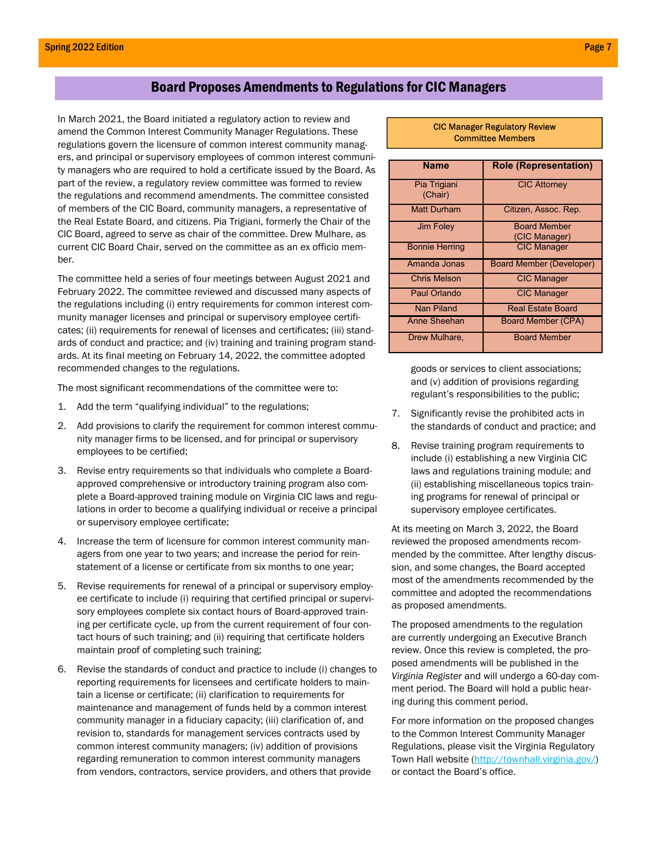### Board Proposes Amendments to Regulations for CIC Managers

In March 2021, the Board initiated a regulatory action to review and amend the Common Interest Community Manager Regulations. These regulations govern the licensure of common interest community managers, and principal or supervisory employees of common interest community managers who are required to hold a certificate issued by the Board. As part of the review, a regulatory review committee was formed to review the regulations and recommend amendments. The committee consisted of members of the CIC Board, community managers, a representative of the Real Estate Board, and citizens. Pia Trigiani, formerly the Chair of the CIC Board, agreed to serve as chair of the committee. Drew Mulhare, as current CIC Board Chair, served on the committee as an ex officio member.

The committee held a series of four meetings between August 2021 and February 2022. The committee reviewed and discussed many aspects of the regulations including (i) entry requirements for common interest community manager licenses and principal or supervisory employee certificates; (ii) requirements for renewal of licenses and certificates; (iii) standards of conduct and practice; and (iv) training and training program standards. At its final meeting on February 14, 2022, the committee adopted recommended changes to the regulations.

The most significant recommendations of the committee were to:

- 1. Add the term "qualifying individual" to the regulations;
- 2. Add provisions to clarify the requirement for common interest community manager firms to be licensed, and for principal or supervisory employees to be certified;
- 3. Revise entry requirements so that individuals who complete a Boardapproved comprehensive or introductory training program also complete a Board-approved training module on Virginia CIC laws and regulations in order to become a qualifying individual or receive a principal or supervisory employee certificate;
- 4. Increase the term of licensure for common interest community managers from one year to two years; and increase the period for reinstatement of a license or certificate from six months to one year;
- 5. Revise requirements for renewal of a principal or supervisory employee certificate to include (i) requiring that certified principal or supervisory employees complete six contact hours of Board-approved training per certificate cycle, up from the current requirement of four contact hours of such training; and (ii) requiring that certificate holders maintain proof of completing such training;
- 6. Revise the standards of conduct and practice to include (i) changes to reporting requirements for licensees and certificate holders to maintain a license or certificate; (ii) clarification to requirements for maintenance and management of funds held by a common interest community manager in a fiduciary capacity; (iii) clarification of, and revision to, standards for management services contracts used by common interest community managers; (iv) addition of provisions regarding remuneration to common interest community managers from vendors, contractors, service providers, and others that provide

#### CIC Manager Regulatory Review Committee Members

| <b>Name</b>           | <b>Role (Representation)</b> |
|-----------------------|------------------------------|
| Pia Trigiani          | <b>CIC Attorney</b>          |
| (Chair)               |                              |
| <b>Matt Durham</b>    | Citizen, Assoc. Rep.         |
| <b>Jim Foley</b>      | <b>Board Member</b>          |
|                       | (CIC Manager)                |
| <b>Bonnie Herring</b> | <b>CIC Manager</b>           |
| Amanda Jonas          | Board Member (Developer)     |
| <b>Chris Melson</b>   | <b>CIC Manager</b>           |
| Paul Orlando          | <b>CIC Manager</b>           |
| Nan Piland            | <b>Real Estate Board</b>     |
| Anne Sheehan          | <b>Board Member (CPA)</b>    |
| Drew Mulhare,         | <b>Board Member</b>          |

goods or services to client associations; and (v) addition of provisions regarding regulant's responsibilities to the public;

- 7. Significantly revise the prohibited acts in the standards of conduct and practice; and
- 8. Revise training program requirements to include (i) establishing a new Virginia CIC laws and regulations training module; and (ii) establishing miscellaneous topics training programs for renewal of principal or supervisory employee certificates.

At its meeting on March 3, 2022, the Board reviewed the proposed amendments recommended by the committee. After lengthy discussion, and some changes, the Board accepted most of the amendments recommended by the committee and adopted the recommendations as proposed amendments.

The proposed amendments to the regulation are currently undergoing an Executive Branch review. Once this review is completed, the proposed amendments will be published in the Virginia Register and will undergo a 60-day comment period. The Board will hold a public hearing during this comment period.

For more information on the proposed changes to the Common Interest Community Manager Regulations, please visit the Virginia Regulatory Town Hall website (http://townhall.virginia.gov/) or contact the Board's office.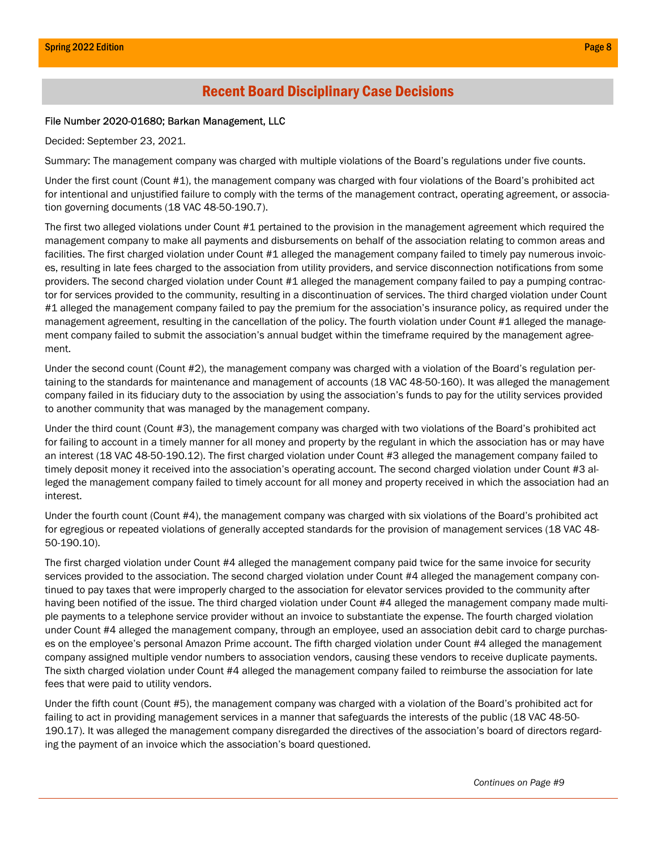### Recent Board Disciplinary Case Decisions

#### File Number 2020-01680; Barkan Management, LLC

Decided: September 23, 2021.

Summary: The management company was charged with multiple violations of the Board's regulations under five counts.

Under the first count (Count #1), the management company was charged with four violations of the Board's prohibited act for intentional and unjustified failure to comply with the terms of the management contract, operating agreement, or association governing documents (18 VAC 48-50-190.7).

The first two alleged violations under Count #1 pertained to the provision in the management agreement which required the management company to make all payments and disbursements on behalf of the association relating to common areas and facilities. The first charged violation under Count #1 alleged the management company failed to timely pay numerous invoices, resulting in late fees charged to the association from utility providers, and service disconnection notifications from some providers. The second charged violation under Count #1 alleged the management company failed to pay a pumping contractor for services provided to the community, resulting in a discontinuation of services. The third charged violation under Count #1 alleged the management company failed to pay the premium for the association's insurance policy, as required under the management agreement, resulting in the cancellation of the policy. The fourth violation under Count #1 alleged the management company failed to submit the association's annual budget within the timeframe required by the management agreement.

Under the second count (Count #2), the management company was charged with a violation of the Board's regulation pertaining to the standards for maintenance and management of accounts (18 VAC 48-50-160). It was alleged the management company failed in its fiduciary duty to the association by using the association's funds to pay for the utility services provided to another community that was managed by the management company.

Under the third count (Count #3), the management company was charged with two violations of the Board's prohibited act for failing to account in a timely manner for all money and property by the regulant in which the association has or may have an interest (18 VAC 48-50-190.12). The first charged violation under Count #3 alleged the management company failed to timely deposit money it received into the association's operating account. The second charged violation under Count #3 alleged the management company failed to timely account for all money and property received in which the association had an interest.

Under the fourth count (Count #4), the management company was charged with six violations of the Board's prohibited act for egregious or repeated violations of generally accepted standards for the provision of management services (18 VAC 48- 50-190.10).

The first charged violation under Count #4 alleged the management company paid twice for the same invoice for security services provided to the association. The second charged violation under Count #4 alleged the management company continued to pay taxes that were improperly charged to the association for elevator services provided to the community after having been notified of the issue. The third charged violation under Count #4 alleged the management company made multiple payments to a telephone service provider without an invoice to substantiate the expense. The fourth charged violation under Count #4 alleged the management company, through an employee, used an association debit card to charge purchases on the employee's personal Amazon Prime account. The fifth charged violation under Count #4 alleged the management company assigned multiple vendor numbers to association vendors, causing these vendors to receive duplicate payments. The sixth charged violation under Count #4 alleged the management company failed to reimburse the association for late fees that were paid to utility vendors.

Under the fifth count (Count #5), the management company was charged with a violation of the Board's prohibited act for failing to act in providing management services in a manner that safeguards the interests of the public (18 VAC 48-50- 190.17). It was alleged the management company disregarded the directives of the association's board of directors regarding the payment of an invoice which the association's board questioned.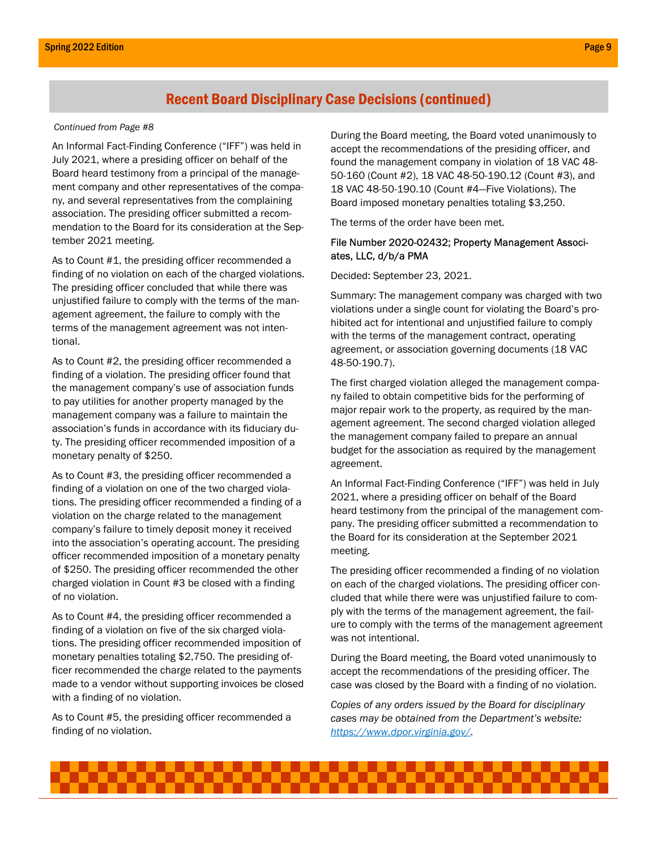### Recent Board Disciplinary Case Decisions (continued)

#### Continued from Page #8

An Informal Fact-Finding Conference ("IFF") was held in July 2021, where a presiding officer on behalf of the Board heard testimony from a principal of the management company and other representatives of the company, and several representatives from the complaining association. The presiding officer submitted a recommendation to the Board for its consideration at the September 2021 meeting.

As to Count #1, the presiding officer recommended a finding of no violation on each of the charged violations. The presiding officer concluded that while there was unjustified failure to comply with the terms of the management agreement, the failure to comply with the terms of the management agreement was not intentional.

As to Count #2, the presiding officer recommended a finding of a violation. The presiding officer found that the management company's use of association funds to pay utilities for another property managed by the management company was a failure to maintain the association's funds in accordance with its fiduciary duty. The presiding officer recommended imposition of a monetary penalty of \$250.

As to Count #3, the presiding officer recommended a finding of a violation on one of the two charged violations. The presiding officer recommended a finding of a violation on the charge related to the management company's failure to timely deposit money it received into the association's operating account. The presiding officer recommended imposition of a monetary penalty of \$250. The presiding officer recommended the other charged violation in Count #3 be closed with a finding of no violation.

As to Count #4, the presiding officer recommended a finding of a violation on five of the six charged violations. The presiding officer recommended imposition of monetary penalties totaling \$2,750. The presiding officer recommended the charge related to the payments made to a vendor without supporting invoices be closed with a finding of no violation.

As to Count #5, the presiding officer recommended a finding of no violation.

During the Board meeting, the Board voted unanimously to accept the recommendations of the presiding officer, and found the management company in violation of 18 VAC 48- 50-160 (Count #2), 18 VAC 48-50-190.12 (Count #3), and 18 VAC 48-50-190.10 (Count #4—Five Violations). The Board imposed monetary penalties totaling \$3,250.

The terms of the order have been met.

#### File Number 2020-02432; Property Management Associates, LLC, d/b/a PMA

Decided: September 23, 2021.

Summary: The management company was charged with two violations under a single count for violating the Board's prohibited act for intentional and unjustified failure to comply with the terms of the management contract, operating agreement, or association governing documents (18 VAC 48-50-190.7).

The first charged violation alleged the management company failed to obtain competitive bids for the performing of major repair work to the property, as required by the management agreement. The second charged violation alleged the management company failed to prepare an annual budget for the association as required by the management agreement.

An Informal Fact-Finding Conference ("IFF") was held in July 2021, where a presiding officer on behalf of the Board heard testimony from the principal of the management company. The presiding officer submitted a recommendation to the Board for its consideration at the September 2021 meeting.

The presiding officer recommended a finding of no violation on each of the charged violations. The presiding officer concluded that while there were was unjustified failure to comply with the terms of the management agreement, the failure to comply with the terms of the management agreement was not intentional.

During the Board meeting, the Board voted unanimously to accept the recommendations of the presiding officer. The case was closed by the Board with a finding of no violation.

Copies of any orders issued by the Board for disciplinary cases may be obtained from the Department's website: https://www.dpor.virginia.gov/.

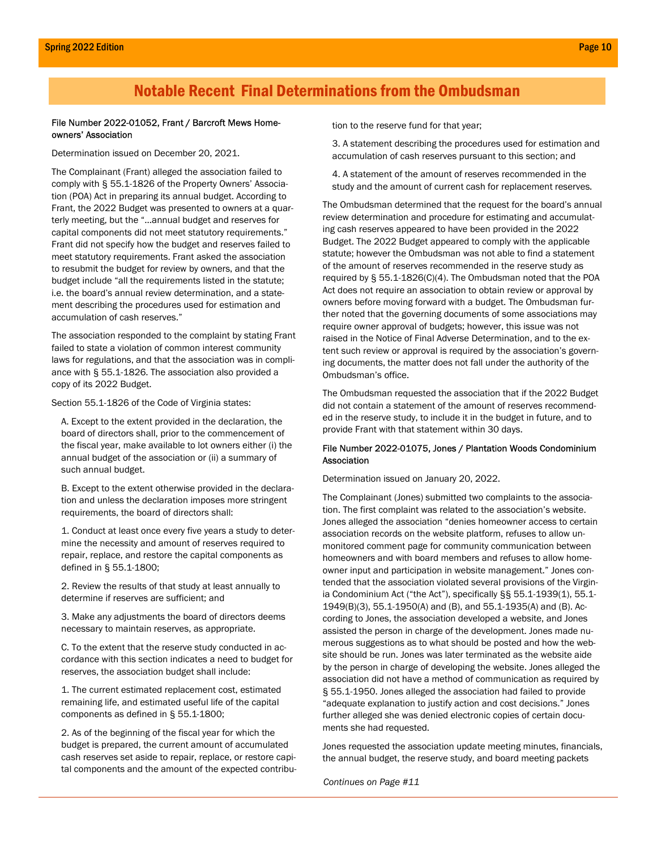### Notable Recent Final Determinations from the Ombudsman

#### File Number 2022-01052, Frant / Barcroft Mews Homeowners' Association

Determination issued on December 20, 2021.

The Complainant (Frant) alleged the association failed to comply with § 55.1-1826 of the Property Owners' Association (POA) Act in preparing its annual budget. According to Frant, the 2022 Budget was presented to owners at a quarterly meeting, but the "…annual budget and reserves for capital components did not meet statutory requirements." Frant did not specify how the budget and reserves failed to meet statutory requirements. Frant asked the association to resubmit the budget for review by owners, and that the budget include "all the requirements listed in the statute; i.e. the board's annual review determination, and a statement describing the procedures used for estimation and accumulation of cash reserves."

The association responded to the complaint by stating Frant failed to state a violation of common interest community laws for regulations, and that the association was in compliance with § 55.1-1826. The association also provided a copy of its 2022 Budget.

Section 55.1-1826 of the Code of Virginia states:

A. Except to the extent provided in the declaration, the board of directors shall, prior to the commencement of the fiscal year, make available to lot owners either (i) the annual budget of the association or (ii) a summary of such annual budget.

B. Except to the extent otherwise provided in the declaration and unless the declaration imposes more stringent requirements, the board of directors shall:

1. Conduct at least once every five years a study to determine the necessity and amount of reserves required to repair, replace, and restore the capital components as defined in § 55.1-1800;

2. Review the results of that study at least annually to determine if reserves are sufficient; and

3. Make any adjustments the board of directors deems necessary to maintain reserves, as appropriate.

C. To the extent that the reserve study conducted in accordance with this section indicates a need to budget for reserves, the association budget shall include:

1. The current estimated replacement cost, estimated remaining life, and estimated useful life of the capital components as defined in § 55.1-1800;

2. As of the beginning of the fiscal year for which the budget is prepared, the current amount of accumulated cash reserves set aside to repair, replace, or restore capital components and the amount of the expected contribution to the reserve fund for that year;

3. A statement describing the procedures used for estimation and accumulation of cash reserves pursuant to this section; and

4. A statement of the amount of reserves recommended in the study and the amount of current cash for replacement reserves.

The Ombudsman determined that the request for the board's annual review determination and procedure for estimating and accumulating cash reserves appeared to have been provided in the 2022 Budget. The 2022 Budget appeared to comply with the applicable statute; however the Ombudsman was not able to find a statement of the amount of reserves recommended in the reserve study as required by § 55.1-1826(C)(4). The Ombudsman noted that the POA Act does not require an association to obtain review or approval by owners before moving forward with a budget. The Ombudsman further noted that the governing documents of some associations may require owner approval of budgets; however, this issue was not raised in the Notice of Final Adverse Determination, and to the extent such review or approval is required by the association's governing documents, the matter does not fall under the authority of the Ombudsman's office.

The Ombudsman requested the association that if the 2022 Budget did not contain a statement of the amount of reserves recommended in the reserve study, to include it in the budget in future, and to provide Frant with that statement within 30 days.

#### File Number 2022-01075, Jones / Plantation Woods Condominium Association

Determination issued on January 20, 2022.

The Complainant (Jones) submitted two complaints to the association. The first complaint was related to the association's website. Jones alleged the association "denies homeowner access to certain association records on the website platform, refuses to allow unmonitored comment page for community communication between homeowners and with board members and refuses to allow homeowner input and participation in website management." Jones contended that the association violated several provisions of the Virginia Condominium Act ("the Act"), specifically §§ 55.1-1939(1), 55.1- 1949(B)(3), 55.1-1950(A) and (B), and 55.1-1935(A) and (B). According to Jones, the association developed a website, and Jones assisted the person in charge of the development. Jones made numerous suggestions as to what should be posted and how the website should be run. Jones was later terminated as the website aide by the person in charge of developing the website. Jones alleged the association did not have a method of communication as required by § 55.1-1950. Jones alleged the association had failed to provide "adequate explanation to justify action and cost decisions." Jones further alleged she was denied electronic copies of certain documents she had requested.

Jones requested the association update meeting minutes, financials, the annual budget, the reserve study, and board meeting packets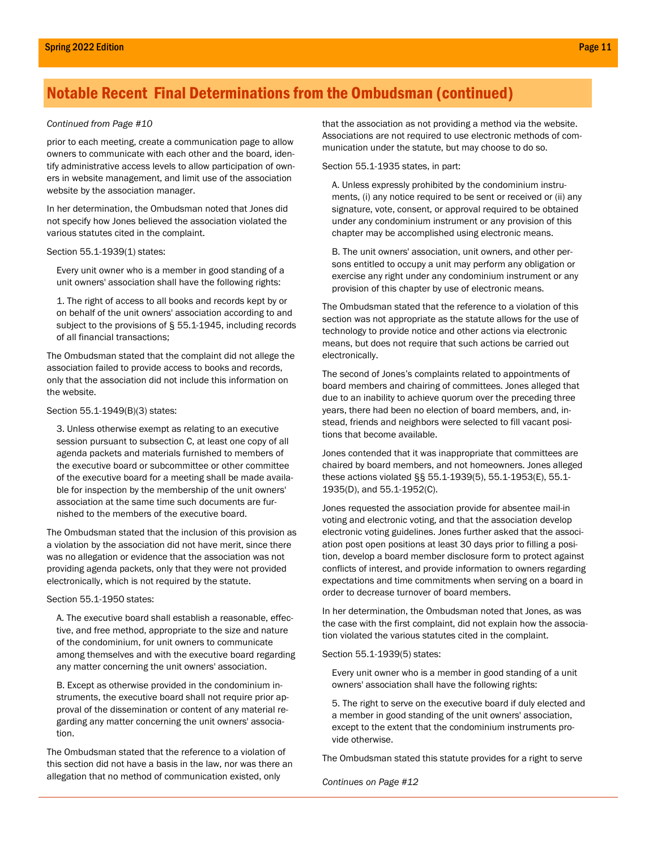#### Continued from Page #10

prior to each meeting, create a communication page to allow owners to communicate with each other and the board, identify administrative access levels to allow participation of owners in website management, and limit use of the association website by the association manager.

In her determination, the Ombudsman noted that Jones did not specify how Jones believed the association violated the various statutes cited in the complaint.

#### Section 55.1-1939(1) states:

Every unit owner who is a member in good standing of a unit owners' association shall have the following rights:

1. The right of access to all books and records kept by or on behalf of the unit owners' association according to and subject to the provisions of § 55.1-1945, including records of all financial transactions;

The Ombudsman stated that the complaint did not allege the association failed to provide access to books and records, only that the association did not include this information on the website.

#### Section 55.1-1949(B)(3) states:

3. Unless otherwise exempt as relating to an executive session pursuant to subsection C, at least one copy of all agenda packets and materials furnished to members of the executive board or subcommittee or other committee of the executive board for a meeting shall be made available for inspection by the membership of the unit owners' association at the same time such documents are furnished to the members of the executive board.

The Ombudsman stated that the inclusion of this provision as a violation by the association did not have merit, since there was no allegation or evidence that the association was not providing agenda packets, only that they were not provided electronically, which is not required by the statute.

#### Section 55.1-1950 states:

A. The executive board shall establish a reasonable, effective, and free method, appropriate to the size and nature of the condominium, for unit owners to communicate among themselves and with the executive board regarding any matter concerning the unit owners' association.

B. Except as otherwise provided in the condominium instruments, the executive board shall not require prior approval of the dissemination or content of any material regarding any matter concerning the unit owners' association.

The Ombudsman stated that the reference to a violation of this section did not have a basis in the law, nor was there an allegation that no method of communication existed, only

that the association as not providing a method via the website. Associations are not required to use electronic methods of communication under the statute, but may choose to do so.

Section 55.1-1935 states, in part:

A. Unless expressly prohibited by the condominium instruments, (i) any notice required to be sent or received or (ii) any signature, vote, consent, or approval required to be obtained under any condominium instrument or any provision of this chapter may be accomplished using electronic means.

B. The unit owners' association, unit owners, and other persons entitled to occupy a unit may perform any obligation or exercise any right under any condominium instrument or any provision of this chapter by use of electronic means.

The Ombudsman stated that the reference to a violation of this section was not appropriate as the statute allows for the use of technology to provide notice and other actions via electronic means, but does not require that such actions be carried out electronically.

The second of Jones's complaints related to appointments of board members and chairing of committees. Jones alleged that due to an inability to achieve quorum over the preceding three years, there had been no election of board members, and, instead, friends and neighbors were selected to fill vacant positions that become available.

Jones contended that it was inappropriate that committees are chaired by board members, and not homeowners. Jones alleged these actions violated §§ 55.1-1939(5), 55.1-1953(E), 55.1- 1935(D), and 55.1-1952(C).

Jones requested the association provide for absentee mail-in voting and electronic voting, and that the association develop electronic voting guidelines. Jones further asked that the association post open positions at least 30 days prior to filling a position, develop a board member disclosure form to protect against conflicts of interest, and provide information to owners regarding expectations and time commitments when serving on a board in order to decrease turnover of board members.

In her determination, the Ombudsman noted that Jones, as was the case with the first complaint, did not explain how the association violated the various statutes cited in the complaint.

#### Section 55.1-1939(5) states:

Every unit owner who is a member in good standing of a unit owners' association shall have the following rights:

5. The right to serve on the executive board if duly elected and a member in good standing of the unit owners' association, except to the extent that the condominium instruments provide otherwise.

The Ombudsman stated this statute provides for a right to serve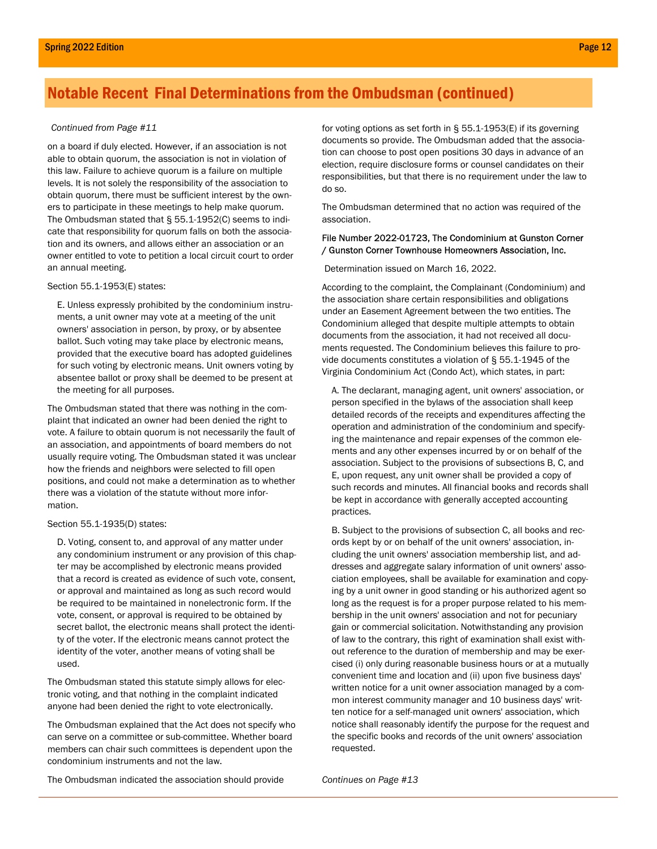#### Continued from Page #11

on a board if duly elected. However, if an association is not able to obtain quorum, the association is not in violation of this law. Failure to achieve quorum is a failure on multiple levels. It is not solely the responsibility of the association to obtain quorum, there must be sufficient interest by the owners to participate in these meetings to help make quorum. The Ombudsman stated that § 55.1-1952(C) seems to indicate that responsibility for quorum falls on both the association and its owners, and allows either an association or an owner entitled to vote to petition a local circuit court to order an annual meeting.

#### Section 55.1-1953(E) states:

E. Unless expressly prohibited by the condominium instruments, a unit owner may vote at a meeting of the unit owners' association in person, by proxy, or by absentee ballot. Such voting may take place by electronic means, provided that the executive board has adopted guidelines for such voting by electronic means. Unit owners voting by absentee ballot or proxy shall be deemed to be present at the meeting for all purposes.

The Ombudsman stated that there was nothing in the complaint that indicated an owner had been denied the right to vote. A failure to obtain quorum is not necessarily the fault of an association, and appointments of board members do not usually require voting. The Ombudsman stated it was unclear how the friends and neighbors were selected to fill open positions, and could not make a determination as to whether there was a violation of the statute without more information.

#### Section 55.1-1935(D) states:

D. Voting, consent to, and approval of any matter under any condominium instrument or any provision of this chapter may be accomplished by electronic means provided that a record is created as evidence of such vote, consent, or approval and maintained as long as such record would be required to be maintained in nonelectronic form. If the vote, consent, or approval is required to be obtained by secret ballot, the electronic means shall protect the identity of the voter. If the electronic means cannot protect the identity of the voter, another means of voting shall be used.

The Ombudsman stated this statute simply allows for electronic voting, and that nothing in the complaint indicated anyone had been denied the right to vote electronically.

The Ombudsman explained that the Act does not specify who can serve on a committee or sub-committee. Whether board members can chair such committees is dependent upon the condominium instruments and not the law.

for voting options as set forth in § 55.1-1953(E) if its governing documents so provide. The Ombudsman added that the association can choose to post open positions 30 days in advance of an election, require disclosure forms or counsel candidates on their responsibilities, but that there is no requirement under the law to do so.

The Ombudsman determined that no action was required of the association.

#### File Number 2022-01723, The Condominium at Gunston Corner / Gunston Corner Townhouse Homeowners Association, Inc.

Determination issued on March 16, 2022.

According to the complaint, the Complainant (Condominium) and the association share certain responsibilities and obligations under an Easement Agreement between the two entities. The Condominium alleged that despite multiple attempts to obtain documents from the association, it had not received all documents requested. The Condominium believes this failure to provide documents constitutes a violation of § 55.1-1945 of the Virginia Condominium Act (Condo Act), which states, in part:

A. The declarant, managing agent, unit owners' association, or person specified in the bylaws of the association shall keep detailed records of the receipts and expenditures affecting the operation and administration of the condominium and specifying the maintenance and repair expenses of the common elements and any other expenses incurred by or on behalf of the association. Subject to the provisions of subsections B, C, and E, upon request, any unit owner shall be provided a copy of such records and minutes. All financial books and records shall be kept in accordance with generally accepted accounting practices.

B. Subject to the provisions of subsection C, all books and records kept by or on behalf of the unit owners' association, including the unit owners' association membership list, and addresses and aggregate salary information of unit owners' association employees, shall be available for examination and copying by a unit owner in good standing or his authorized agent so long as the request is for a proper purpose related to his membership in the unit owners' association and not for pecuniary gain or commercial solicitation. Notwithstanding any provision of law to the contrary, this right of examination shall exist without reference to the duration of membership and may be exercised (i) only during reasonable business hours or at a mutually convenient time and location and (ii) upon five business days' written notice for a unit owner association managed by a common interest community manager and 10 business days' written notice for a self-managed unit owners' association, which notice shall reasonably identify the purpose for the request and the specific books and records of the unit owners' association requested.

The Ombudsman indicated the association should provide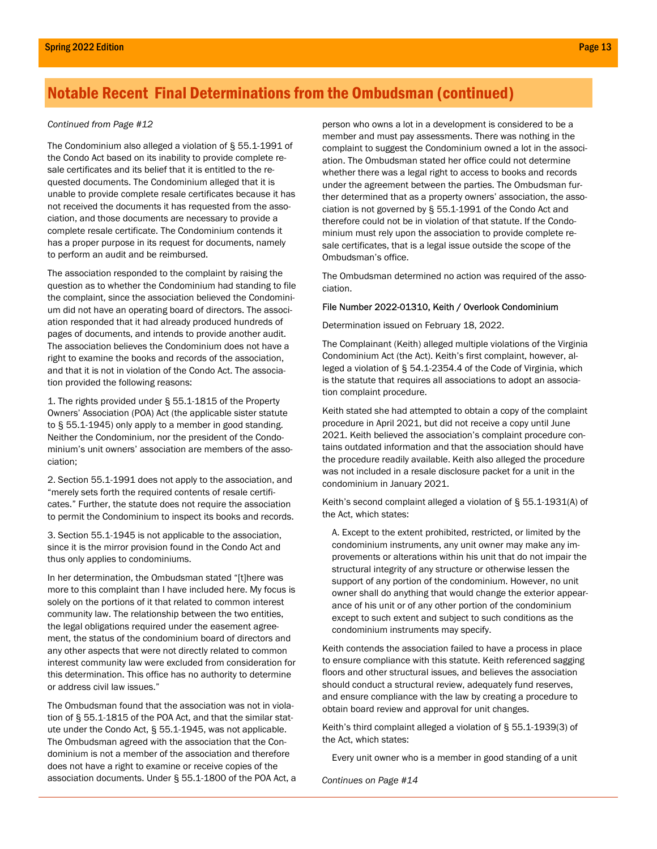#### Continued from Page #12

The Condominium also alleged a violation of § 55.1-1991 of the Condo Act based on its inability to provide complete resale certificates and its belief that it is entitled to the requested documents. The Condominium alleged that it is unable to provide complete resale certificates because it has not received the documents it has requested from the association, and those documents are necessary to provide a complete resale certificate. The Condominium contends it has a proper purpose in its request for documents, namely to perform an audit and be reimbursed.

The association responded to the complaint by raising the question as to whether the Condominium had standing to file the complaint, since the association believed the Condominium did not have an operating board of directors. The association responded that it had already produced hundreds of pages of documents, and intends to provide another audit. The association believes the Condominium does not have a right to examine the books and records of the association, and that it is not in violation of the Condo Act. The association provided the following reasons:

1. The rights provided under § 55.1-1815 of the Property Owners' Association (POA) Act (the applicable sister statute to § 55.1-1945) only apply to a member in good standing. Neither the Condominium, nor the president of the Condominium's unit owners' association are members of the association;

2. Section 55.1-1991 does not apply to the association, and "merely sets forth the required contents of resale certificates." Further, the statute does not require the association to permit the Condominium to inspect its books and records.

3. Section 55.1-1945 is not applicable to the association, since it is the mirror provision found in the Condo Act and thus only applies to condominiums.

In her determination, the Ombudsman stated "[t]here was more to this complaint than I have included here. My focus is solely on the portions of it that related to common interest community law. The relationship between the two entities, the legal obligations required under the easement agreement, the status of the condominium board of directors and any other aspects that were not directly related to common interest community law were excluded from consideration for this determination. This office has no authority to determine or address civil law issues."

The Ombudsman found that the association was not in violation of § 55.1-1815 of the POA Act, and that the similar statute under the Condo Act, § 55.1-1945, was not applicable. The Ombudsman agreed with the association that the Condominium is not a member of the association and therefore does not have a right to examine or receive copies of the association documents. Under § 55.1-1800 of the POA Act, a person who owns a lot in a development is considered to be a member and must pay assessments. There was nothing in the complaint to suggest the Condominium owned a lot in the association. The Ombudsman stated her office could not determine whether there was a legal right to access to books and records under the agreement between the parties. The Ombudsman further determined that as a property owners' association, the association is not governed by § 55.1-1991 of the Condo Act and therefore could not be in violation of that statute. If the Condominium must rely upon the association to provide complete resale certificates, that is a legal issue outside the scope of the Ombudsman's office.

The Ombudsman determined no action was required of the association.

#### File Number 2022-01310, Keith / Overlook Condominium

Determination issued on February 18, 2022.

The Complainant (Keith) alleged multiple violations of the Virginia Condominium Act (the Act). Keith's first complaint, however, alleged a violation of § 54.1-2354.4 of the Code of Virginia, which is the statute that requires all associations to adopt an association complaint procedure.

Keith stated she had attempted to obtain a copy of the complaint procedure in April 2021, but did not receive a copy until June 2021. Keith believed the association's complaint procedure contains outdated information and that the association should have the procedure readily available. Keith also alleged the procedure was not included in a resale disclosure packet for a unit in the condominium in January 2021.

Keith's second complaint alleged a violation of § 55.1-1931(A) of the Act, which states:

A. Except to the extent prohibited, restricted, or limited by the condominium instruments, any unit owner may make any improvements or alterations within his unit that do not impair the structural integrity of any structure or otherwise lessen the support of any portion of the condominium. However, no unit owner shall do anything that would change the exterior appearance of his unit or of any other portion of the condominium except to such extent and subject to such conditions as the condominium instruments may specify.

Keith contends the association failed to have a process in place to ensure compliance with this statute. Keith referenced sagging floors and other structural issues, and believes the association should conduct a structural review, adequately fund reserves, and ensure compliance with the law by creating a procedure to obtain board review and approval for unit changes.

Keith's third complaint alleged a violation of § 55.1-1939(3) of the Act, which states:

Every unit owner who is a member in good standing of a unit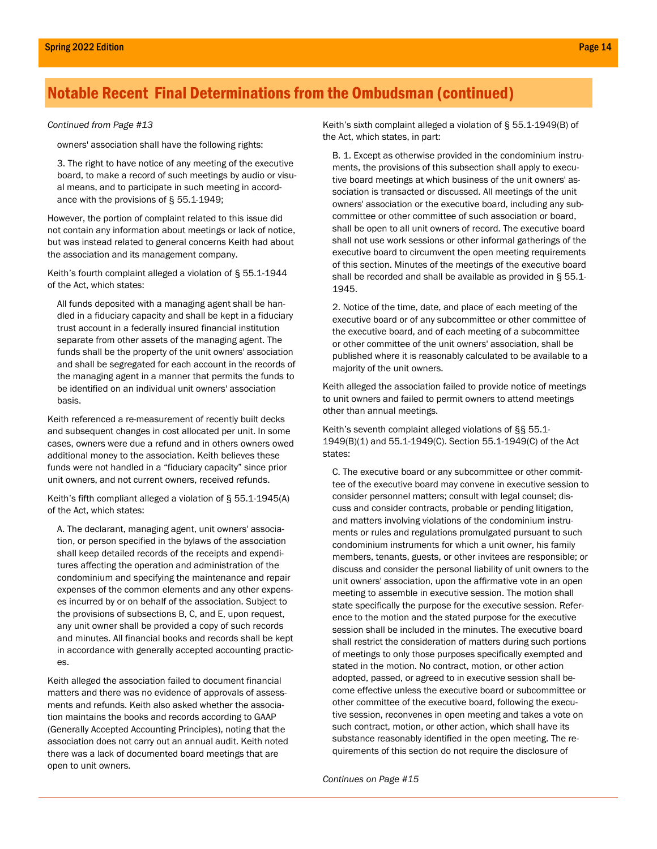#### Continued from Page #13

owners' association shall have the following rights:

3. The right to have notice of any meeting of the executive board, to make a record of such meetings by audio or visual means, and to participate in such meeting in accordance with the provisions of § 55.1-1949;

However, the portion of complaint related to this issue did not contain any information about meetings or lack of notice, but was instead related to general concerns Keith had about the association and its management company.

Keith's fourth complaint alleged a violation of § 55.1-1944 of the Act, which states:

All funds deposited with a managing agent shall be handled in a fiduciary capacity and shall be kept in a fiduciary trust account in a federally insured financial institution separate from other assets of the managing agent. The funds shall be the property of the unit owners' association and shall be segregated for each account in the records of the managing agent in a manner that permits the funds to be identified on an individual unit owners' association basis.

Keith referenced a re-measurement of recently built decks and subsequent changes in cost allocated per unit. In some cases, owners were due a refund and in others owners owed additional money to the association. Keith believes these funds were not handled in a "fiduciary capacity" since prior unit owners, and not current owners, received refunds.

Keith's fifth compliant alleged a violation of § 55.1-1945(A) of the Act, which states:

A. The declarant, managing agent, unit owners' association, or person specified in the bylaws of the association shall keep detailed records of the receipts and expenditures affecting the operation and administration of the condominium and specifying the maintenance and repair expenses of the common elements and any other expenses incurred by or on behalf of the association. Subject to the provisions of subsections B, C, and E, upon request, any unit owner shall be provided a copy of such records and minutes. All financial books and records shall be kept in accordance with generally accepted accounting practices.

Keith alleged the association failed to document financial matters and there was no evidence of approvals of assessments and refunds. Keith also asked whether the association maintains the books and records according to GAAP (Generally Accepted Accounting Principles), noting that the association does not carry out an annual audit. Keith noted there was a lack of documented board meetings that are open to unit owners.

Keith's sixth complaint alleged a violation of § 55.1-1949(B) of the Act, which states, in part:

B. 1. Except as otherwise provided in the condominium instruments, the provisions of this subsection shall apply to executive board meetings at which business of the unit owners' association is transacted or discussed. All meetings of the unit owners' association or the executive board, including any subcommittee or other committee of such association or board, shall be open to all unit owners of record. The executive board shall not use work sessions or other informal gatherings of the executive board to circumvent the open meeting requirements of this section. Minutes of the meetings of the executive board shall be recorded and shall be available as provided in § 55.1- 1945.

2. Notice of the time, date, and place of each meeting of the executive board or of any subcommittee or other committee of the executive board, and of each meeting of a subcommittee or other committee of the unit owners' association, shall be published where it is reasonably calculated to be available to a majority of the unit owners.

Keith alleged the association failed to provide notice of meetings to unit owners and failed to permit owners to attend meetings other than annual meetings.

Keith's seventh complaint alleged violations of §§ 55.1- 1949(B)(1) and 55.1-1949(C). Section 55.1-1949(C) of the Act states:

C. The executive board or any subcommittee or other committee of the executive board may convene in executive session to consider personnel matters; consult with legal counsel; discuss and consider contracts, probable or pending litigation, and matters involving violations of the condominium instruments or rules and regulations promulgated pursuant to such condominium instruments for which a unit owner, his family members, tenants, guests, or other invitees are responsible; or discuss and consider the personal liability of unit owners to the unit owners' association, upon the affirmative vote in an open meeting to assemble in executive session. The motion shall state specifically the purpose for the executive session. Reference to the motion and the stated purpose for the executive session shall be included in the minutes. The executive board shall restrict the consideration of matters during such portions of meetings to only those purposes specifically exempted and stated in the motion. No contract, motion, or other action adopted, passed, or agreed to in executive session shall become effective unless the executive board or subcommittee or other committee of the executive board, following the executive session, reconvenes in open meeting and takes a vote on such contract, motion, or other action, which shall have its substance reasonably identified in the open meeting. The requirements of this section do not require the disclosure of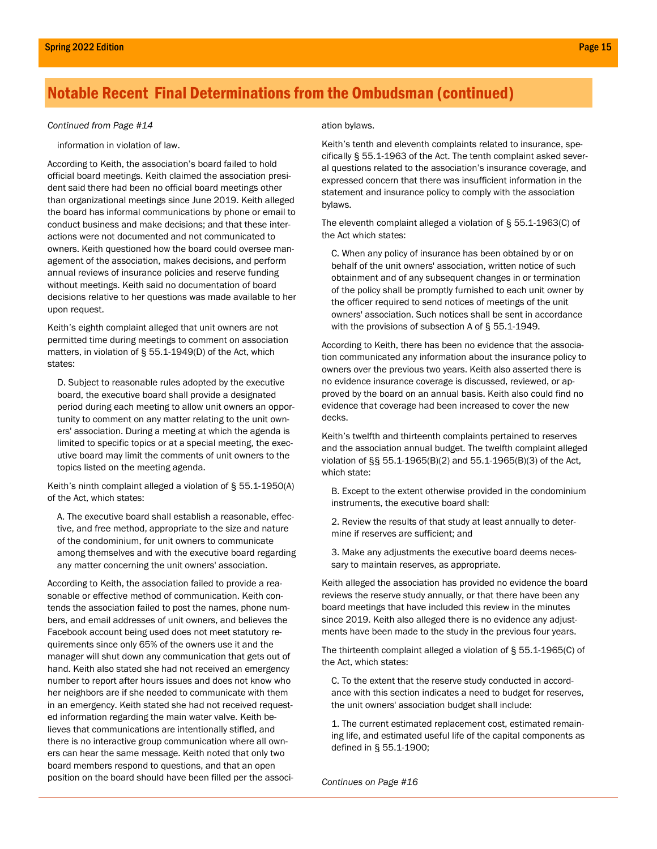#### Continued from Page #14

information in violation of law.

According to Keith, the association's board failed to hold official board meetings. Keith claimed the association president said there had been no official board meetings other than organizational meetings since June 2019. Keith alleged the board has informal communications by phone or email to conduct business and make decisions; and that these interactions were not documented and not communicated to owners. Keith questioned how the board could oversee management of the association, makes decisions, and perform annual reviews of insurance policies and reserve funding without meetings. Keith said no documentation of board decisions relative to her questions was made available to her upon request.

Keith's eighth complaint alleged that unit owners are not permitted time during meetings to comment on association matters, in violation of § 55.1-1949(D) of the Act, which states:

D. Subject to reasonable rules adopted by the executive board, the executive board shall provide a designated period during each meeting to allow unit owners an opportunity to comment on any matter relating to the unit owners' association. During a meeting at which the agenda is limited to specific topics or at a special meeting, the executive board may limit the comments of unit owners to the topics listed on the meeting agenda.

Keith's ninth complaint alleged a violation of § 55.1-1950(A) of the Act, which states:

A. The executive board shall establish a reasonable, effective, and free method, appropriate to the size and nature of the condominium, for unit owners to communicate among themselves and with the executive board regarding any matter concerning the unit owners' association.

According to Keith, the association failed to provide a reasonable or effective method of communication. Keith contends the association failed to post the names, phone numbers, and email addresses of unit owners, and believes the Facebook account being used does not meet statutory requirements since only 65% of the owners use it and the manager will shut down any communication that gets out of hand. Keith also stated she had not received an emergency number to report after hours issues and does not know who her neighbors are if she needed to communicate with them in an emergency. Keith stated she had not received requested information regarding the main water valve. Keith believes that communications are intentionally stifled, and there is no interactive group communication where all owners can hear the same message. Keith noted that only two board members respond to questions, and that an open position on the board should have been filled per the associ-

#### ation bylaws.

Keith's tenth and eleventh complaints related to insurance, specifically § 55.1-1963 of the Act. The tenth complaint asked several questions related to the association's insurance coverage, and expressed concern that there was insufficient information in the statement and insurance policy to comply with the association bylaws.

The eleventh complaint alleged a violation of § 55.1-1963(C) of the Act which states:

C. When any policy of insurance has been obtained by or on behalf of the unit owners' association, written notice of such obtainment and of any subsequent changes in or termination of the policy shall be promptly furnished to each unit owner by the officer required to send notices of meetings of the unit owners' association. Such notices shall be sent in accordance with the provisions of subsection A of § 55.1-1949.

According to Keith, there has been no evidence that the association communicated any information about the insurance policy to owners over the previous two years. Keith also asserted there is no evidence insurance coverage is discussed, reviewed, or approved by the board on an annual basis. Keith also could find no evidence that coverage had been increased to cover the new decks.

Keith's twelfth and thirteenth complaints pertained to reserves and the association annual budget. The twelfth complaint alleged violation of §§ 55.1-1965(B)(2) and 55.1-1965(B)(3) of the Act, which state:

- B. Except to the extent otherwise provided in the condominium instruments, the executive board shall:
- 2. Review the results of that study at least annually to determine if reserves are sufficient; and
- 3. Make any adjustments the executive board deems necessary to maintain reserves, as appropriate.

Keith alleged the association has provided no evidence the board reviews the reserve study annually, or that there have been any board meetings that have included this review in the minutes since 2019. Keith also alleged there is no evidence any adjustments have been made to the study in the previous four years.

The thirteenth complaint alleged a violation of § 55.1-1965(C) of the Act, which states:

C. To the extent that the reserve study conducted in accordance with this section indicates a need to budget for reserves, the unit owners' association budget shall include:

1. The current estimated replacement cost, estimated remaining life, and estimated useful life of the capital components as defined in § 55.1-1900;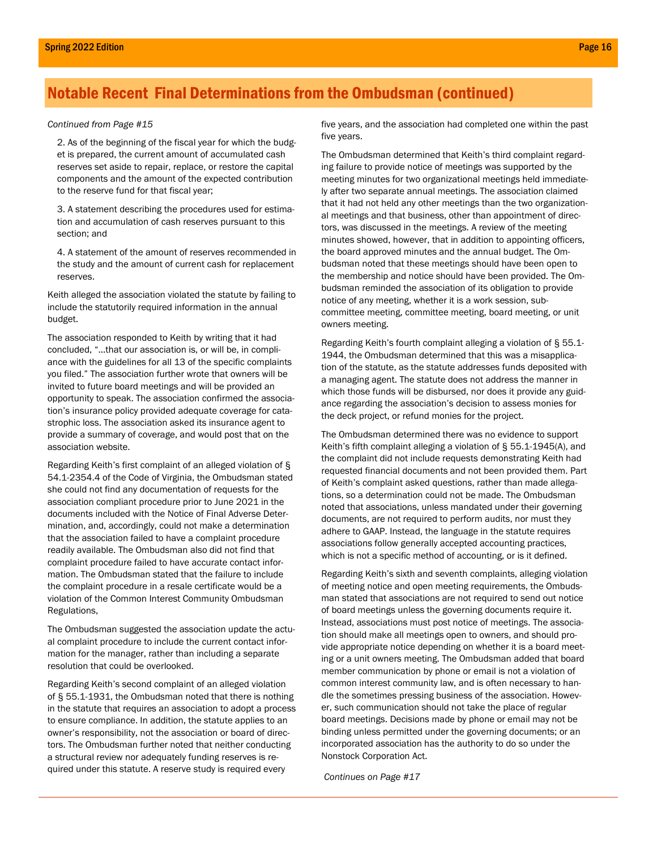#### Continued from Page #15

2. As of the beginning of the fiscal year for which the budget is prepared, the current amount of accumulated cash reserves set aside to repair, replace, or restore the capital components and the amount of the expected contribution to the reserve fund for that fiscal year;

3. A statement describing the procedures used for estimation and accumulation of cash reserves pursuant to this section; and

4. A statement of the amount of reserves recommended in the study and the amount of current cash for replacement reserves.

Keith alleged the association violated the statute by failing to include the statutorily required information in the annual budget.

The association responded to Keith by writing that it had concluded, "…that our association is, or will be, in compliance with the guidelines for all 13 of the specific complaints you filed." The association further wrote that owners will be invited to future board meetings and will be provided an opportunity to speak. The association confirmed the association's insurance policy provided adequate coverage for catastrophic loss. The association asked its insurance agent to provide a summary of coverage, and would post that on the association website.

Regarding Keith's first complaint of an alleged violation of § 54.1-2354.4 of the Code of Virginia, the Ombudsman stated she could not find any documentation of requests for the association compliant procedure prior to June 2021 in the documents included with the Notice of Final Adverse Determination, and, accordingly, could not make a determination that the association failed to have a complaint procedure readily available. The Ombudsman also did not find that complaint procedure failed to have accurate contact information. The Ombudsman stated that the failure to include the complaint procedure in a resale certificate would be a violation of the Common Interest Community Ombudsman Regulations,

The Ombudsman suggested the association update the actual complaint procedure to include the current contact information for the manager, rather than including a separate resolution that could be overlooked.

Regarding Keith's second complaint of an alleged violation of § 55.1-1931, the Ombudsman noted that there is nothing in the statute that requires an association to adopt a process to ensure compliance. In addition, the statute applies to an owner's responsibility, not the association or board of directors. The Ombudsman further noted that neither conducting a structural review nor adequately funding reserves is required under this statute. A reserve study is required every

five years, and the association had completed one within the past five years.

The Ombudsman determined that Keith's third complaint regarding failure to provide notice of meetings was supported by the meeting minutes for two organizational meetings held immediately after two separate annual meetings. The association claimed that it had not held any other meetings than the two organizational meetings and that business, other than appointment of directors, was discussed in the meetings. A review of the meeting minutes showed, however, that in addition to appointing officers, the board approved minutes and the annual budget. The Ombudsman noted that these meetings should have been open to the membership and notice should have been provided. The Ombudsman reminded the association of its obligation to provide notice of any meeting, whether it is a work session, subcommittee meeting, committee meeting, board meeting, or unit owners meeting.

Regarding Keith's fourth complaint alleging a violation of § 55.1- 1944, the Ombudsman determined that this was a misapplication of the statute, as the statute addresses funds deposited with a managing agent. The statute does not address the manner in which those funds will be disbursed, nor does it provide any guidance regarding the association's decision to assess monies for the deck project, or refund monies for the project.

The Ombudsman determined there was no evidence to support Keith's fifth complaint alleging a violation of § 55.1-1945(A), and the complaint did not include requests demonstrating Keith had requested financial documents and not been provided them. Part of Keith's complaint asked questions, rather than made allegations, so a determination could not be made. The Ombudsman noted that associations, unless mandated under their governing documents, are not required to perform audits, nor must they adhere to GAAP. Instead, the language in the statute requires associations follow generally accepted accounting practices, which is not a specific method of accounting, or is it defined.

Regarding Keith's sixth and seventh complaints, alleging violation of meeting notice and open meeting requirements, the Ombudsman stated that associations are not required to send out notice of board meetings unless the governing documents require it. Instead, associations must post notice of meetings. The association should make all meetings open to owners, and should provide appropriate notice depending on whether it is a board meeting or a unit owners meeting. The Ombudsman added that board member communication by phone or email is not a violation of common interest community law, and is often necessary to handle the sometimes pressing business of the association. However, such communication should not take the place of regular board meetings. Decisions made by phone or email may not be binding unless permitted under the governing documents; or an incorporated association has the authority to do so under the Nonstock Corporation Act.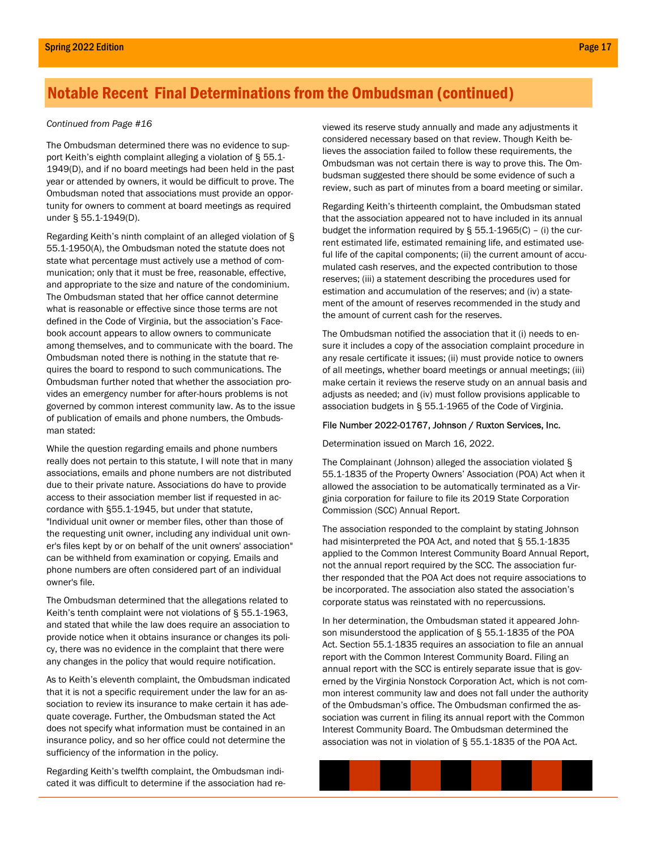The Ombudsman determined there was no evidence to support Keith's eighth complaint alleging a violation of § 55.1- 1949(D), and if no board meetings had been held in the past year or attended by owners, it would be difficult to prove. The Ombudsman noted that associations must provide an opportunity for owners to comment at board meetings as required under § 55.1-1949(D).

Regarding Keith's ninth complaint of an alleged violation of § 55.1-1950(A), the Ombudsman noted the statute does not state what percentage must actively use a method of communication; only that it must be free, reasonable, effective, and appropriate to the size and nature of the condominium. The Ombudsman stated that her office cannot determine what is reasonable or effective since those terms are not defined in the Code of Virginia, but the association's Facebook account appears to allow owners to communicate among themselves, and to communicate with the board. The Ombudsman noted there is nothing in the statute that requires the board to respond to such communications. The Ombudsman further noted that whether the association provides an emergency number for after-hours problems is not governed by common interest community law. As to the issue of publication of emails and phone numbers, the Ombudsman stated:

While the question regarding emails and phone numbers really does not pertain to this statute, I will note that in many associations, emails and phone numbers are not distributed due to their private nature. Associations do have to provide access to their association member list if requested in accordance with §55.1-1945, but under that statute, "Individual unit owner or member files, other than those of the requesting unit owner, including any individual unit owner's files kept by or on behalf of the unit owners' association" can be withheld from examination or copying. Emails and phone numbers are often considered part of an individual owner's file.

The Ombudsman determined that the allegations related to Keith's tenth complaint were not violations of § 55.1-1963, and stated that while the law does require an association to provide notice when it obtains insurance or changes its policy, there was no evidence in the complaint that there were any changes in the policy that would require notification.

As to Keith's eleventh complaint, the Ombudsman indicated that it is not a specific requirement under the law for an association to review its insurance to make certain it has adequate coverage. Further, the Ombudsman stated the Act does not specify what information must be contained in an insurance policy, and so her office could not determine the sufficiency of the information in the policy.

Regarding Keith's twelfth complaint, the Ombudsman indicated it was difficult to determine if the association had re-

Continued from Page #16 continued from Page #16 considered necessary based on that review. Though Keith believes the association failed to follow these requirements, the Ombudsman was not certain there is way to prove this. The Ombudsman suggested there should be some evidence of such a review, such as part of minutes from a board meeting or similar.

> Regarding Keith's thirteenth complaint, the Ombudsman stated that the association appeared not to have included in its annual budget the information required by § 55.1-1965(C) – (i) the current estimated life, estimated remaining life, and estimated useful life of the capital components; (ii) the current amount of accumulated cash reserves, and the expected contribution to those reserves; (iii) a statement describing the procedures used for estimation and accumulation of the reserves; and (iv) a statement of the amount of reserves recommended in the study and the amount of current cash for the reserves.

> The Ombudsman notified the association that it (i) needs to ensure it includes a copy of the association complaint procedure in any resale certificate it issues; (ii) must provide notice to owners of all meetings, whether board meetings or annual meetings; (iii) make certain it reviews the reserve study on an annual basis and adjusts as needed; and (iv) must follow provisions applicable to association budgets in § 55.1-1965 of the Code of Virginia.

#### File Number 2022-01767, Johnson / Ruxton Services, Inc.

Determination issued on March 16, 2022.

The Complainant (Johnson) alleged the association violated § 55.1-1835 of the Property Owners' Association (POA) Act when it allowed the association to be automatically terminated as a Virginia corporation for failure to file its 2019 State Corporation Commission (SCC) Annual Report.

The association responded to the complaint by stating Johnson had misinterpreted the POA Act, and noted that § 55.1-1835 applied to the Common Interest Community Board Annual Report, not the annual report required by the SCC. The association further responded that the POA Act does not require associations to be incorporated. The association also stated the association's corporate status was reinstated with no repercussions.

In her determination, the Ombudsman stated it appeared Johnson misunderstood the application of § 55.1-1835 of the POA Act. Section 55.1-1835 requires an association to file an annual report with the Common Interest Community Board. Filing an annual report with the SCC is entirely separate issue that is governed by the Virginia Nonstock Corporation Act, which is not common interest community law and does not fall under the authority of the Ombudsman's office. The Ombudsman confirmed the association was current in filing its annual report with the Common Interest Community Board. The Ombudsman determined the association was not in violation of § 55.1-1835 of the POA Act.

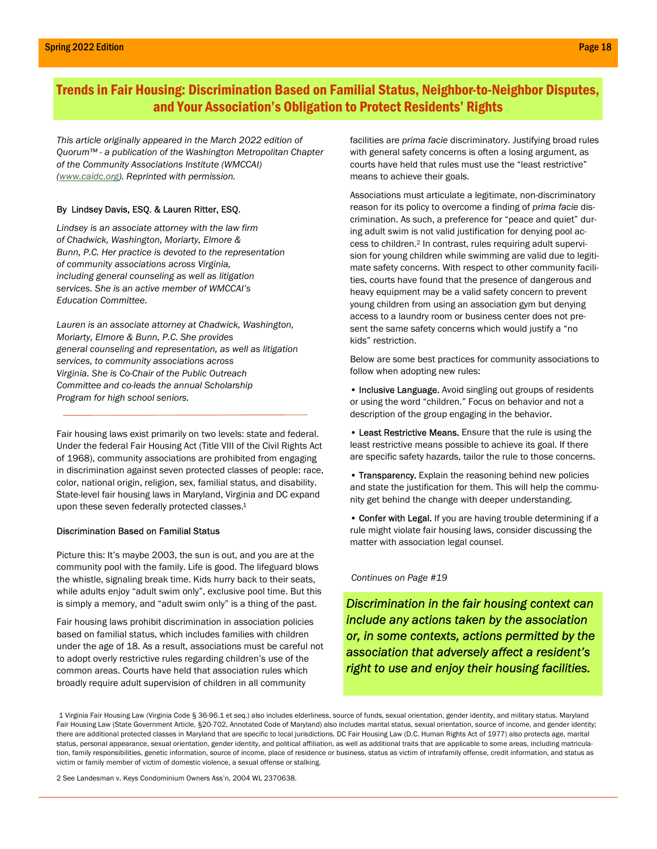### Trends in Fair Housing: Discrimination Based on Familial Status, Neighbor-to-Neighbor Disputes, and Your Association's Obligation to Protect Residents' Rights

This article originally appeared in the March 2022 edition of Quorum™ - a publication of the Washington Metropolitan Chapter of the Community Associations Institute (WMCCAI) (www.caidc.org). Reprinted with permission.

#### By Lindsey Davis, ESQ. & Lauren Ritter, ESQ.

Lindsey is an associate attorney with the law firm of Chadwick, Washington, Moriarty, Elmore & Bunn, P.C. Her practice is devoted to the representation of community associations across Virginia, including general counseling as well as litigation services. She is an active member of WMCCAI's Education Committee.

Lauren is an associate attorney at Chadwick, Washington, Moriarty, Elmore & Bunn, P.C. She provides general counseling and representation, as well as litigation services, to community associations across Virginia. She is Co-Chair of the Public Outreach Committee and co-leads the annual Scholarship Program for high school seniors.

Fair housing laws exist primarily on two levels: state and federal. Under the federal Fair Housing Act (Title VIII of the Civil Rights Act of 1968), community associations are prohibited from engaging in discrimination against seven protected classes of people: race, color, national origin, religion, sex, familial status, and disability. State-level fair housing laws in Maryland, Virginia and DC expand upon these seven federally protected classes.<sup>1</sup>

#### Discrimination Based on Familial Status

Picture this: It's maybe 2003, the sun is out, and you are at the community pool with the family. Life is good. The lifeguard blows the whistle, signaling break time. Kids hurry back to their seats, while adults enjoy "adult swim only", exclusive pool time. But this is simply a memory, and "adult swim only" is a thing of the past.

Fair housing laws prohibit discrimination in association policies based on familial status, which includes families with children under the age of 18. As a result, associations must be careful not to adopt overly restrictive rules regarding children's use of the common areas. Courts have held that association rules which broadly require adult supervision of children in all community

facilities are prima facie discriminatory. Justifying broad rules with general safety concerns is often a losing argument, as courts have held that rules must use the "least restrictive" means to achieve their goals.

Associations must articulate a legitimate, non-discriminatory reason for its policy to overcome a finding of prima facie discrimination. As such, a preference for "peace and quiet" during adult swim is not valid justification for denying pool access to children.<sup>2</sup> In contrast, rules requiring adult supervision for young children while swimming are valid due to legitimate safety concerns. With respect to other community facilities, courts have found that the presence of dangerous and heavy equipment may be a valid safety concern to prevent young children from using an association gym but denying access to a laundry room or business center does not present the same safety concerns which would justify a "no kids" restriction.

Below are some best practices for community associations to follow when adopting new rules:

• Inclusive Language. Avoid singling out groups of residents or using the word "children." Focus on behavior and not a description of the group engaging in the behavior.

• Least Restrictive Means. Ensure that the rule is using the least restrictive means possible to achieve its goal. If there are specific safety hazards, tailor the rule to those concerns.

• Transparency. Explain the reasoning behind new policies and state the justification for them. This will help the community get behind the change with deeper understanding.

• Confer with Legal. If you are having trouble determining if a rule might violate fair housing laws, consider discussing the matter with association legal counsel.

#### Continues on Page #19

Discrimination in the fair housing context can include any actions taken by the association or, in some contexts, actions permitted by the association that adversely affect a resident's right to use and enjoy their housing facilities.

1 Virginia Fair Housing Law (Virginia Code § 36-96.1 et seq.) also includes elderliness, source of funds, sexual orientation, gender identity, and military status. Maryland Fair Housing Law (State Government Article, §20-702, Annotated Code of Maryland) also includes marital status, sexual orientation, source of income, and gender identity; there are additional protected classes in Maryland that are specific to local jurisdictions. DC Fair Housing Law (D.C. Human Rights Act of 1977) also protects age, marital status, personal appearance, sexual orientation, gender identity, and political affiliation, as well as additional traits that are applicable to some areas, including matriculation, family responsibilities, genetic information, source of income, place of residence or business, status as victim of intrafamily offense, credit information, and status as victim or family member of victim of domestic violence, a sexual offense or stalking.

2 See Landesman v. Keys Condominium Owners Ass'n, 2004 WL 2370638.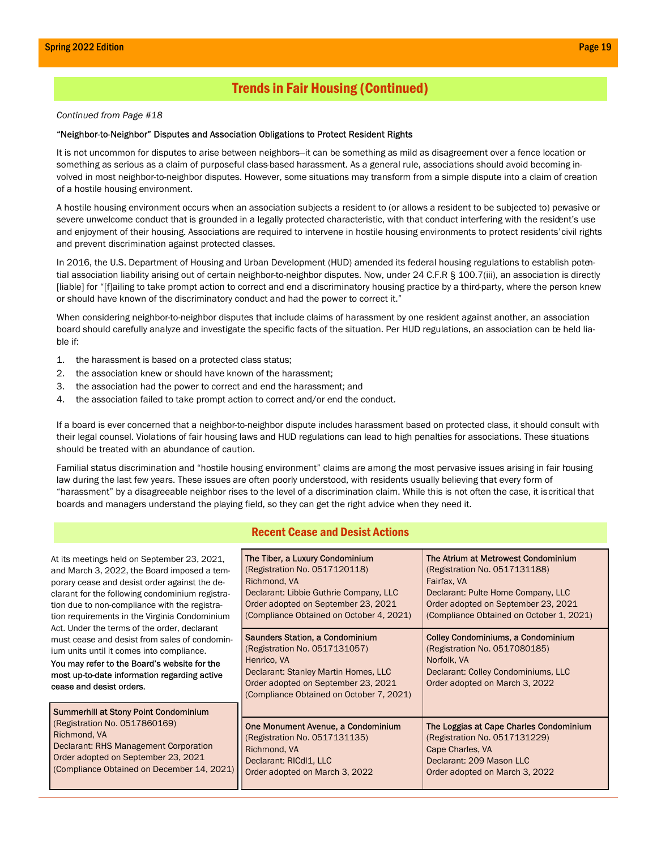### Trends in Fair Housing (Continued)

#### Continued from Page #18

#### "Neighbor-to-Neighbor" Disputes and Association Obligations to Protect Resident Rights

It is not uncommon for disputes to arise between neighbors—it can be something as mild as disagreement over a fence location or something as serious as a claim of purposeful class-based harassment. As a general rule, associations should avoid becoming involved in most neighbor-to-neighbor disputes. However, some situations may transform from a simple dispute into a claim of creation of a hostile housing environment.

A hostile housing environment occurs when an association subjects a resident to (or allows a resident to be subjected to) pervasive or severe unwelcome conduct that is grounded in a legally protected characteristic, with that conduct interfering with the resident's use and enjoyment of their housing. Associations are required to intervene in hostile housing environments to protect residents' civil rights and prevent discrimination against protected classes.

In 2016, the U.S. Department of Housing and Urban Development (HUD) amended its federal housing regulations to establish potential association liability arising out of certain neighbor-to-neighbor disputes. Now, under 24 C.F.R § 100.7(iii), an association is directly [liable] for "[f]ailing to take prompt action to correct and end a discriminatory housing practice by a third-party, where the person knew or should have known of the discriminatory conduct and had the power to correct it."

When considering neighbor-to-neighbor disputes that include claims of harassment by one resident against another, an association board should carefully analyze and investigate the specific facts of the situation. Per HUD regulations, an association can be held liable if:

- 1. the harassment is based on a protected class status;
- 2. the association knew or should have known of the harassment;
- 3. the association had the power to correct and end the harassment; and
- 4. the association failed to take prompt action to correct and/or end the conduct.

If a board is ever concerned that a neighbor-to-neighbor dispute includes harassment based on protected class, it should consult with their legal counsel. Violations of fair housing laws and HUD regulations can lead to high penalties for associations. These situations should be treated with an abundance of caution.

Familial status discrimination and "hostile housing environment" claims are among the most pervasive issues arising in fair housing law during the last few years. These issues are often poorly understood, with residents usually believing that every form of "harassment" by a disagreeable neighbor rises to the level of a discrimination claim. While this is not often the case, it iscritical that boards and managers understand the playing field, so they can get the right advice when they need it.

#### Recent Cease and Desist Actions

| At its meetings held on September 23, 2021,<br>and March 3, 2022, the Board imposed a tem-<br>porary cease and desist order against the de-<br>clarant for the following condominium registra-<br>tion due to non-compliance with the registra-<br>tion requirements in the Virginia Condominium<br>Act. Under the terms of the order, declarant<br>must cease and desist from sales of condomin-<br>ium units until it comes into compliance.<br>You may refer to the Board's website for the<br>most up-to-date information regarding active<br>cease and desist orders. | The Tiber, a Luxury Condominium<br>(Registration No. 0517120118)<br>Richmond, VA<br>Declarant: Libbie Guthrie Company, LLC<br>Order adopted on September 23, 2021<br>(Compliance Obtained on October 4, 2021) | The Atrium at Metrowest Condominium<br>(Registration No. 0517131188)<br>Fairfax, VA<br>Declarant: Pulte Home Company, LLC<br>Order adopted on September 23, 2021<br>(Compliance Obtained on October 1, 2021) |
|----------------------------------------------------------------------------------------------------------------------------------------------------------------------------------------------------------------------------------------------------------------------------------------------------------------------------------------------------------------------------------------------------------------------------------------------------------------------------------------------------------------------------------------------------------------------------|---------------------------------------------------------------------------------------------------------------------------------------------------------------------------------------------------------------|--------------------------------------------------------------------------------------------------------------------------------------------------------------------------------------------------------------|
|                                                                                                                                                                                                                                                                                                                                                                                                                                                                                                                                                                            | Saunders Station, a Condominium<br>(Registration No. 0517131057)<br>Henrico, VA<br>Declarant: Stanley Martin Homes, LLC<br>Order adopted on September 23, 2021<br>(Compliance Obtained on October 7, 2021)    | <b>Colley Condominiums, a Condominium</b><br>(Registration No. 0517080185)<br>Norfolk, VA<br>Declarant: Colley Condominiums, LLC<br>Order adopted on March 3, 2022                                           |
| Summerhill at Stony Point Condominium<br>(Registration No. 0517860169)<br>Richmond, VA<br>Declarant: RHS Management Corporation<br>Order adopted on September 23, 2021<br>(Compliance Obtained on December 14, 2021)                                                                                                                                                                                                                                                                                                                                                       | One Monument Avenue, a Condominium<br>(Registration No. 0517131135)<br>Richmond, VA<br>Declarant: RICdI1, LLC<br>Order adopted on March 3, 2022                                                               | The Loggias at Cape Charles Condominium<br>(Registration No. 0517131229)<br>Cape Charles, VA<br>Declarant: 209 Mason LLC<br>Order adopted on March 3, 2022                                                   |